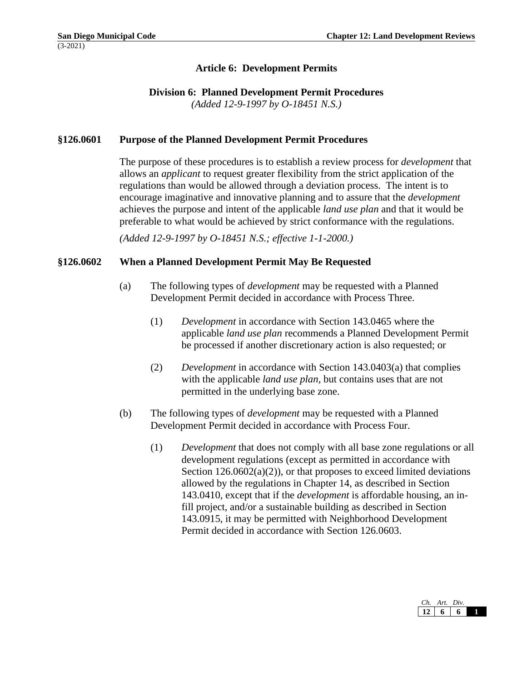## **Article 6: Development Permits**

### **Division 6: Planned Development Permit Procedures**

*(Added 12-9-1997 by O-18451 N.S.)*

## **§126.0601 Purpose of the Planned Development Permit Procedures**

The purpose of these procedures is to establish a review process for *development* that allows an *applicant* to request greater flexibility from the strict application of the regulations than would be allowed through a deviation process. The intent is to encourage imaginative and innovative planning and to assure that the *development* achieves the purpose and intent of the applicable *land use plan* and that it would be preferable to what would be achieved by strict conformance with the regulations.

*(Added 12-9-1997 by O-18451 N.S.; effective 1-1-2000.)*

### **§126.0602 When a Planned Development Permit May Be Requested**

- (a) The following types of *development* may be requested with a Planned Development Permit decided in accordance with Process Three.
	- (1) *Development* in accordance with Section 143.0465 where the applicable *land use plan* recommends a Planned Development Permit be processed if another discretionary action is also requested; or
	- (2) *Development* in accordance with Section 143.0403(a) that complies with the applicable *land use plan*, but contains uses that are not permitted in the underlying base zone.
- (b) The following types of *development* may be requested with a Planned Development Permit decided in accordance with Process Four.
	- (1) *Development* that does not comply with all base zone regulations or all development regulations (except as permitted in accordance with Section  $126.0602(a)(2)$ , or that proposes to exceed limited deviations allowed by the regulations in Chapter 14, as described in Section 143.0410, except that if the *development* is affordable housing, an infill project, and/or a sustainable building as described in Section 143.0915, it may be permitted with Neighborhood Development Permit decided in accordance with Section 126.0603.

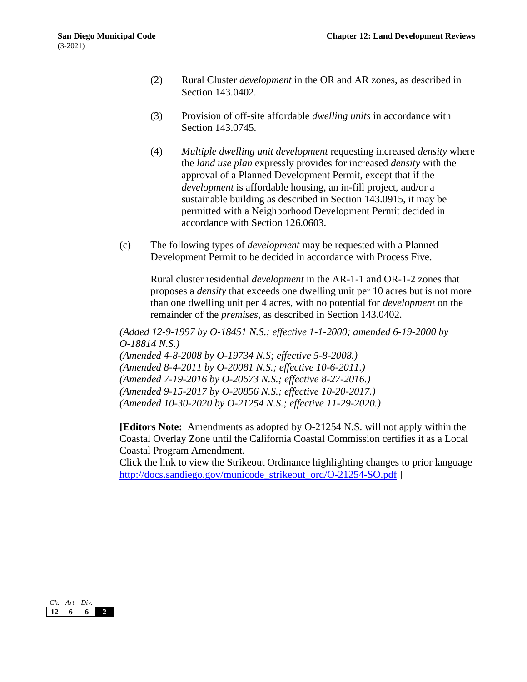- (2) Rural Cluster *development* in the OR and AR zones, as described in Section 143.0402.
- (3) Provision of off-site affordable *dwelling units* in accordance with Section 143.0745.
- (4) *Multiple dwelling unit development* requesting increased *density* where the *land use plan* expressly provides for increased *density* with the approval of a Planned Development Permit, except that if the *development* is affordable housing, an in-fill project, and/or a sustainable building as described in Section 143.0915, it may be permitted with a Neighborhood Development Permit decided in accordance with Section 126.0603.
- (c) The following types of *development* may be requested with a Planned Development Permit to be decided in accordance with Process Five.

Rural cluster residential *development* in the AR-1-1 and OR-1-2 zones that proposes a *density* that exceeds one dwelling unit per 10 acres but is not more than one dwelling unit per 4 acres, with no potential for *development* on the remainder of the *premises*, as described in Section 143.0402.

*(Added 12-9-1997 by O-18451 N.S.; effective 1-1-2000; amended 6-19-2000 by O-18814 N.S.)*

*(Amended 4-8-2008 by O-19734 N.S; effective 5-8-2008.) (Amended 8-4-2011 by O-20081 N.S.; effective 10-6-2011.) (Amended 7-19-2016 by O-20673 N.S.; effective 8-27-2016.) (Amended 9-15-2017 by O-20856 N.S.; effective 10-20-2017.) (Amended 10-30-2020 by O-21254 N.S.; effective 11-29-2020.)*

**[Editors Note:** Amendments as adopted by O-21254 N.S. will not apply within the Coastal Overlay Zone until the California Coastal Commission certifies it as a Local Coastal Program Amendment.

Click the link to view the Strikeout Ordinance highlighting changes to prior language [http://docs.sandiego.gov/municode\\_strikeout\\_ord/O-21254-SO.pdf](http://docs.sandiego.gov/municode_strikeout_ord/O-21254-SO.pdf) ]

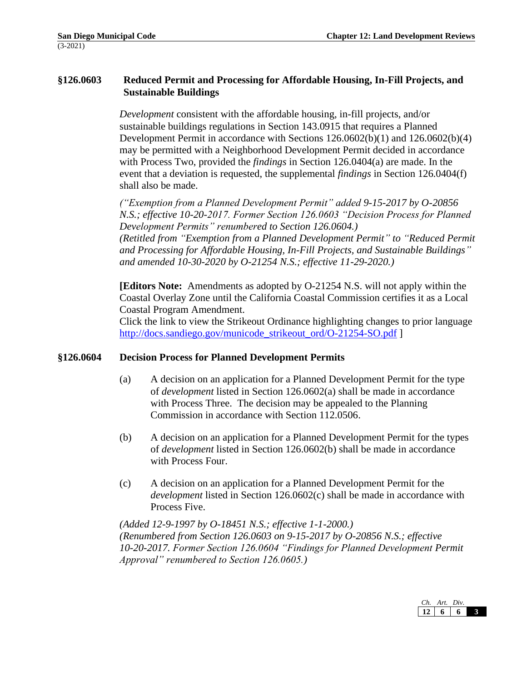# **§126.0603 Reduced Permit and Processing for Affordable Housing, In-Fill Projects, and Sustainable Buildings**

*Development* consistent with the affordable housing, in-fill projects, and/or sustainable buildings regulations in Section 143.0915 that requires a Planned Development Permit in accordance with Sections 126.0602(b)(1) and 126.0602(b)(4) may be permitted with a Neighborhood Development Permit decided in accordance with Process Two, provided the *findings* in Section 126.0404(a) are made. In the event that a deviation is requested, the supplemental *findings* in Section 126.0404(f) shall also be made.

*("Exemption from a Planned Development Permit" added 9-15-2017 by O-20856 N.S.; effective 10-20-2017. Former Section 126.0603 "Decision Process for Planned Development Permits" renumbered to Section 126.0604.) (Retitled from "Exemption from a Planned Development Permit" to "Reduced Permit and Processing for Affordable Housing, In-Fill Projects, and Sustainable Buildings" and amended 10-30-2020 by O-21254 N.S.; effective 11-29-2020.)*

**[Editors Note:** Amendments as adopted by O-21254 N.S. will not apply within the Coastal Overlay Zone until the California Coastal Commission certifies it as a Local Coastal Program Amendment.

Click the link to view the Strikeout Ordinance highlighting changes to prior language [http://docs.sandiego.gov/municode\\_strikeout\\_ord/O-21254-SO.pdf](http://docs.sandiego.gov/municode_strikeout_ord/O-21254-SO.pdf) ]

### **§126.0604 Decision Process for Planned Development Permits**

- (a) A decision on an application for a Planned Development Permit for the type of *development* listed in Section 126.0602(a) shall be made in accordance with Process Three. The decision may be appealed to the Planning Commission in accordance with Section 112.0506.
- (b) A decision on an application for a Planned Development Permit for the types of *development* listed in Section 126.0602(b) shall be made in accordance with Process Four.
- (c) A decision on an application for a Planned Development Permit for the *development* listed in Section 126.0602(c) shall be made in accordance with Process Five.

*(Added 12-9-1997 by O-18451 N.S.; effective 1-1-2000.) (Renumbered from Section 126.0603 on 9-15-2017 by O-20856 N.S.; effective 10-20-2017. Former Section 126.0604 "Findings for Planned Development Permit Approval" renumbered to Section 126.0605.)* 

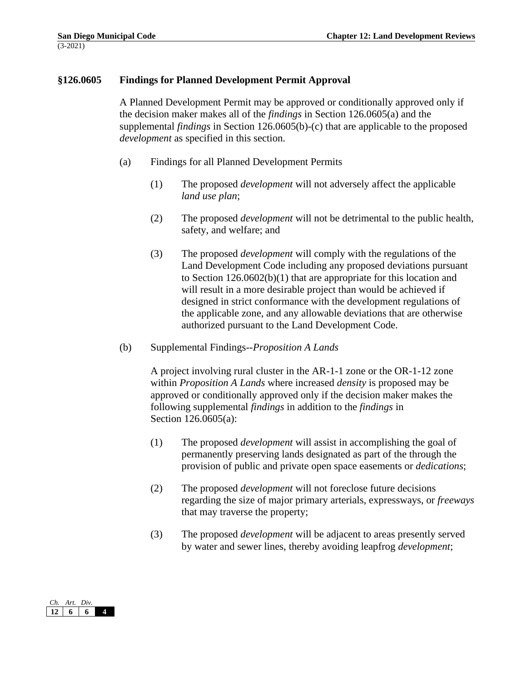### **§126.0605 Findings for Planned Development Permit Approval**

A Planned Development Permit may be approved or conditionally approved only if the decision maker makes all of the *findings* in Section 126.0605(a) and the supplemental *findings* in Section 126.0605(b)-(c) that are applicable to the proposed *development* as specified in this section.

- (a) Findings for all Planned Development Permits
	- (1) The proposed *development* will not adversely affect the applicable *land use plan*;
	- (2) The proposed *development* will not be detrimental to the public health, safety, and welfare; and
	- (3) The proposed *development* will comply with the regulations of the Land Development Code including any proposed deviations pursuant to Section 126.0602(b)(1) that are appropriate for this location and will result in a more desirable project than would be achieved if designed in strict conformance with the development regulations of the applicable zone, and any allowable deviations that are otherwise authorized pursuant to the Land Development Code.
- (b) Supplemental Findings--*Proposition A Lands*

A project involving rural cluster in the AR-1-1 zone or the OR-1-12 zone within *Proposition A Lands* where increased *density* is proposed may be approved or conditionally approved only if the decision maker makes the following supplemental *findings* in addition to the *findings* in Section 126.0605(a):

- (1) The proposed *development* will assist in accomplishing the goal of permanently preserving lands designated as part of the through the provision of public and private open space easements or *dedications*;
- (2) The proposed *development* will not foreclose future decisions regarding the size of major primary arterials, expressways, or *freeways* that may traverse the property;
- (3) The proposed *development* will be adjacent to areas presently served by water and sewer lines, thereby avoiding leapfrog *development*;

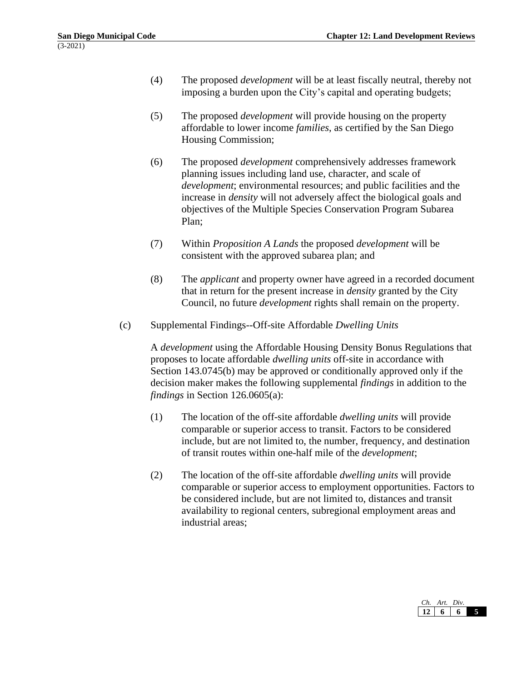- (4) The proposed *development* will be at least fiscally neutral, thereby not imposing a burden upon the City's capital and operating budgets;
- (5) The proposed *development* will provide housing on the property affordable to lower income *families*, as certified by the San Diego Housing Commission;
- (6) The proposed *development* comprehensively addresses framework planning issues including land use, character, and scale of *development*; environmental resources; and public facilities and the increase in *density* will not adversely affect the biological goals and objectives of the Multiple Species Conservation Program Subarea Plan;
- (7) Within *Proposition A Lands* the proposed *development* will be consistent with the approved subarea plan; and
- (8) The *applicant* and property owner have agreed in a recorded document that in return for the present increase in *density* granted by the City Council, no future *development* rights shall remain on the property.
- (c) Supplemental Findings--Off-site Affordable *Dwelling Units*

A *development* using the Affordable Housing Density Bonus Regulations that proposes to locate affordable *dwelling units* off-site in accordance with Section 143.0745(b) may be approved or conditionally approved only if the decision maker makes the following supplemental *findings* in addition to the *findings* in Section 126.0605(a):

- (1) The location of the off-site affordable *dwelling units* will provide comparable or superior access to transit. Factors to be considered include, but are not limited to, the number, frequency, and destination of transit routes within one-half mile of the *development*;
- (2) The location of the off-site affordable *dwelling units* will provide comparable or superior access to employment opportunities. Factors to be considered include, but are not limited to, distances and transit availability to regional centers, subregional employment areas and industrial areas;